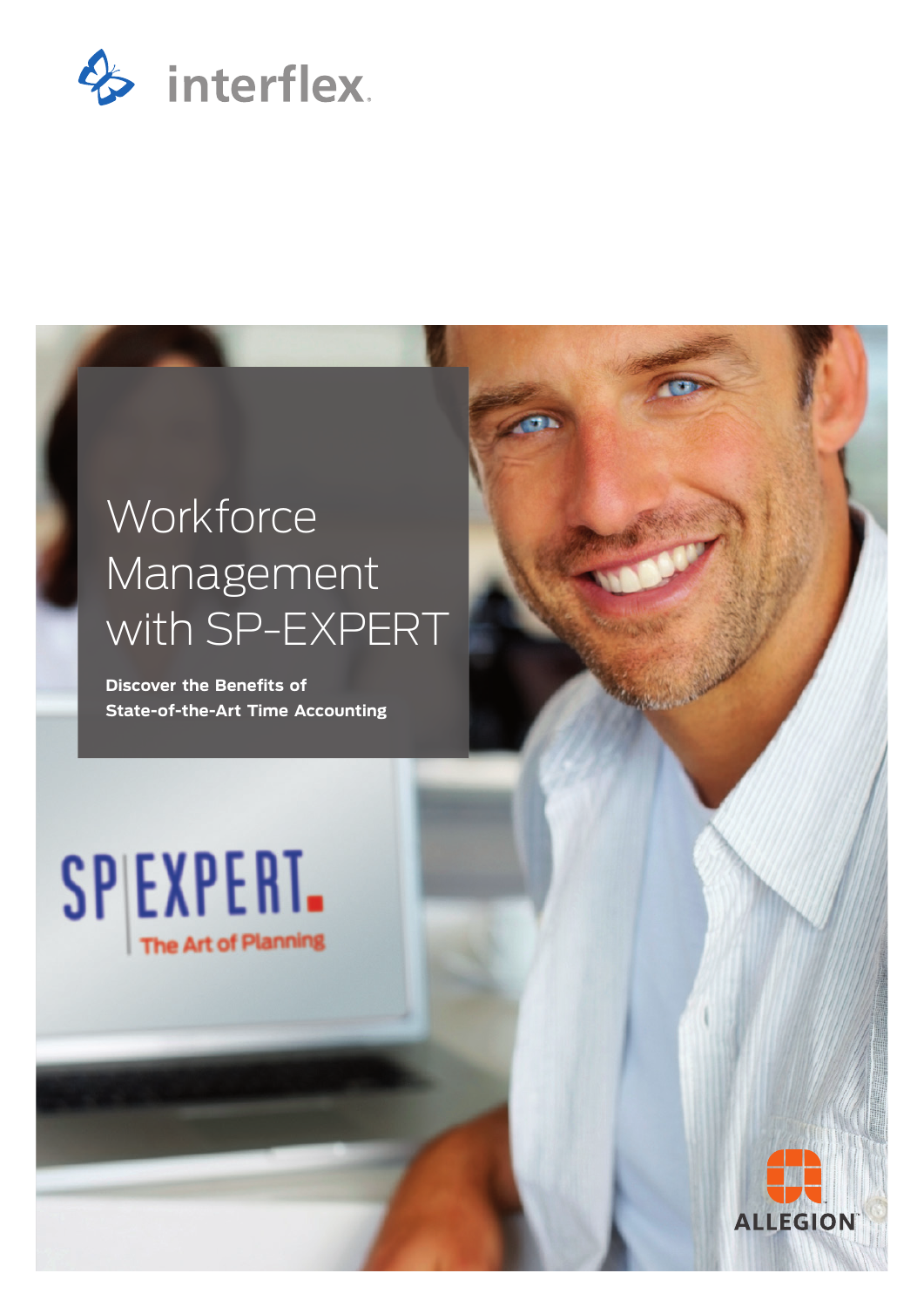

# **Workforce** Management with SP-EXPERT

**Discover the Benefits of State-of-the-Art Time Accounting**

SPIEXPERT. The Art of Planning

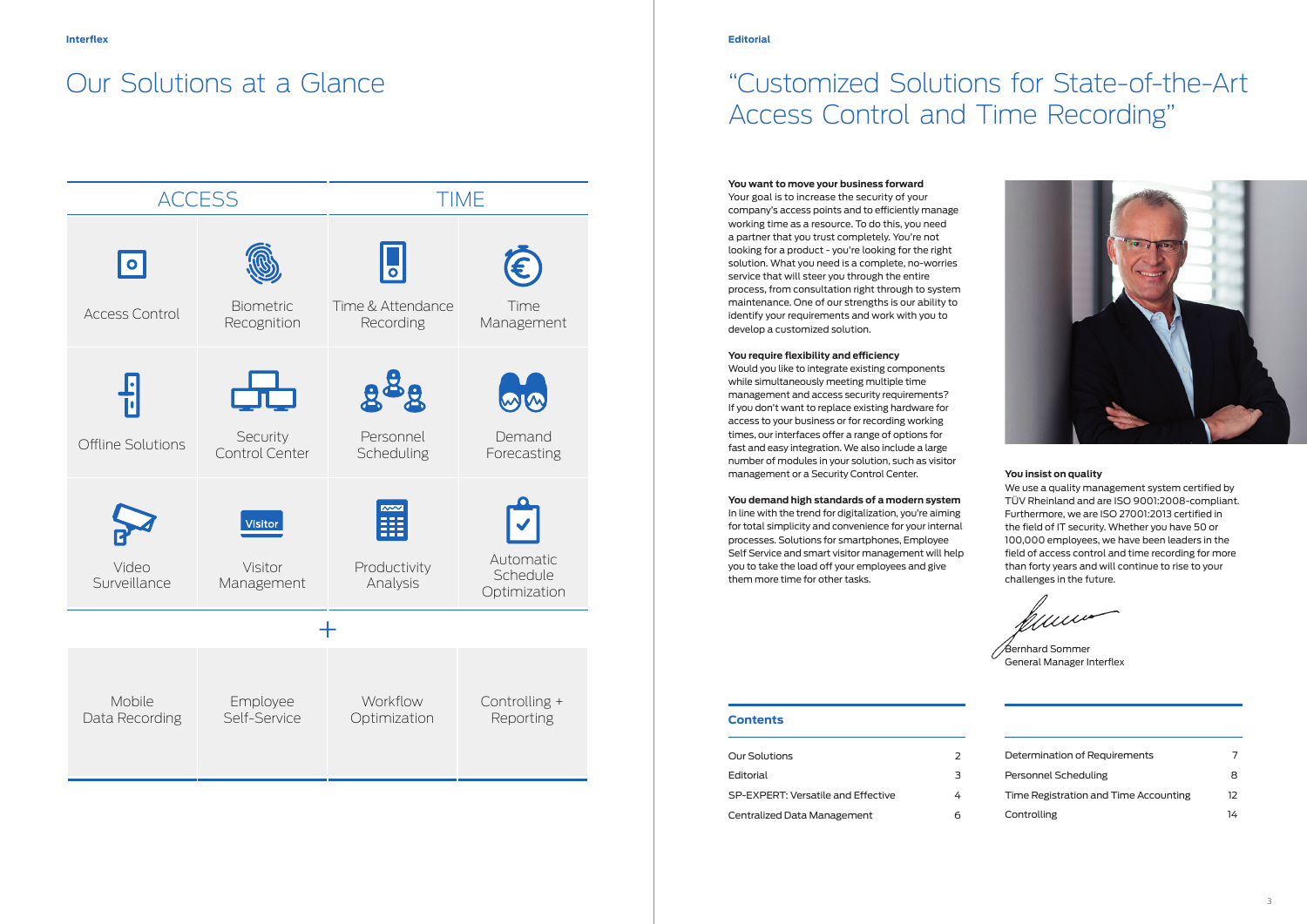### **Contents**

| Our Solutions                      |   |
|------------------------------------|---|
| Editorial                          | з |
| SP-EXPERT: Versatile and Effective |   |
| Centralized Data Management        |   |



| Determination of Requirements         |    |
|---------------------------------------|----|
| Personnel Scheduling                  | 8  |
| Time Registration and Time Accounting | 12 |
| Controlling                           | 14 |

# "Customized Solutions for State-of-the-Art Access Control and Time Recording"

#### **You want to move your business forward**

Your goal is to increase the security of your company's access points and to efficiently manage working time as a resource. To do this, you need a partner that you trust completely. You're not looking for a product - you're looking for the right solution. What you need is a complete, no-worries service that will steer you through the entire process, from consultation right through to system maintenance. One of our strengths is our ability to identify your requirements and work with you to develop a customized solution.

#### **You require flexibility and efficiency**

Would you like to integrate existing components while simultaneously meeting multiple time management and access security requirements? If you don't want to replace existing hardware for access to your business or for recording working times, our interfaces offer a range of options for fast and easy integration. We also include a large number of modules in your solution, such as visitor management or a Security Control Center.

**You demand high standards of a modern system**  In line with the trend for digitalization, you're aiming for total simplicity and convenience for your internal processes. Solutions for smartphones, Employee Self Service and smart visitor management will help you to take the load off your employees and give them more time for other tasks.

Bernhard Sommer General Manager Interflex

#### **You insist on quality**

We use a quality management system certified by TÜV Rheinland and are ISO 9001:2008-compliant. Furthermore, we are ISO 27001:2013 certified in the field of IT security. Whether you have 50 or 100,000 employees, we have been leaders in the field of access control and time recording for more than forty years and will continue to rise to your challenges in the future.

## Our Solutions at a Glance

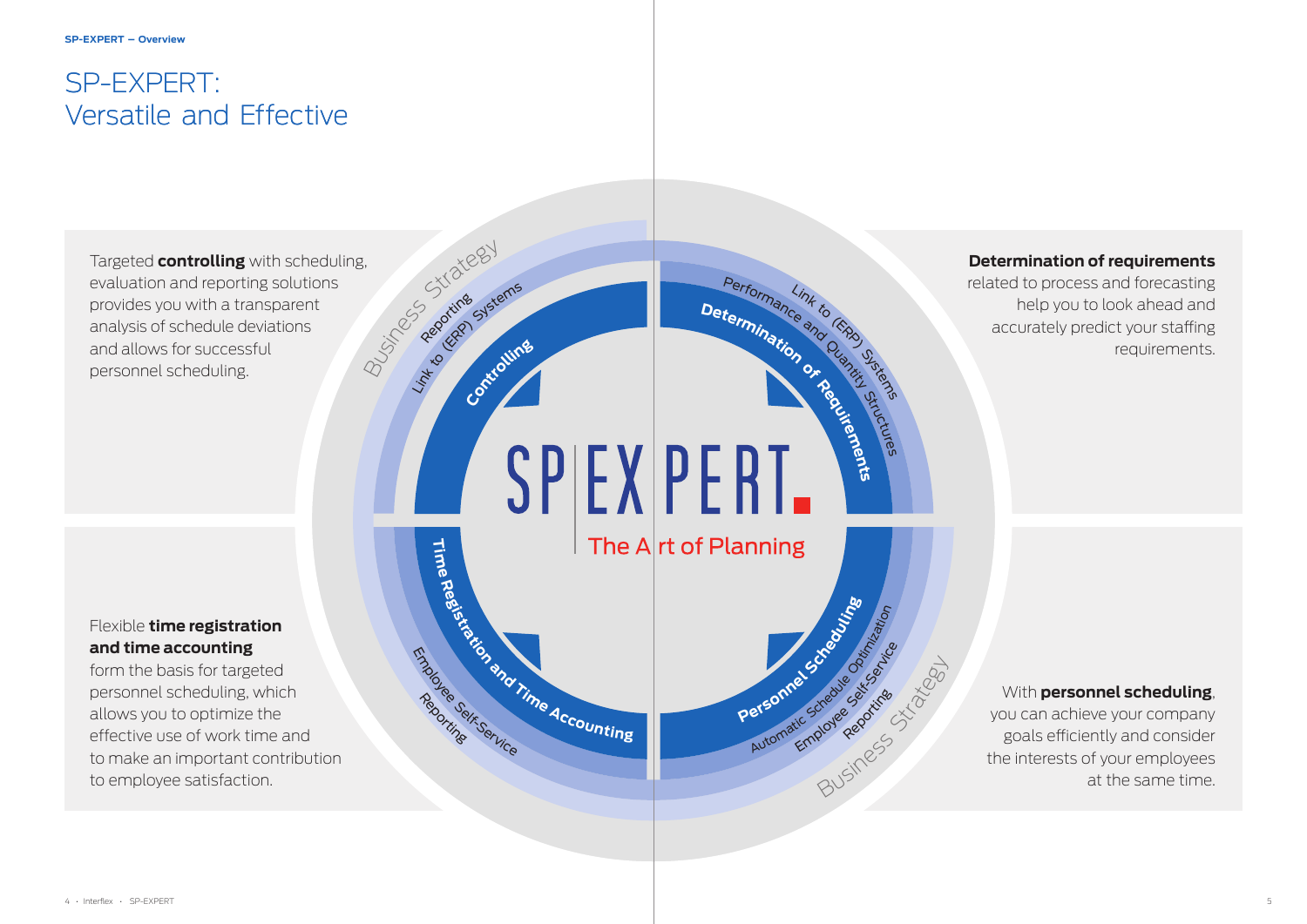4 • Interflex • SP-EXPERT 5

## SP-EXPERT: Versatile and Effective

Business Strategy Targeted **controlling** with scheduling, evaluation and reporting solutions provides you with a transparent analysis of schedule deviations and allows for successful personnel scheduling.

Reporting

Link to General Systems

### **Determination of requirements**

related to process and forecasting help you to look ahead and accurately predict your staffing requirements.

### Flexible **time registration and time accounting**

form the basis for targeted personnel scheduling, which allows you to optimize the effective use of work time and to make an important contribution to employee satisfaction.

**D**<br>**D**eterminarios especies The  $A$ <sub>rt</sub> of Planning

BUSINESS Reporting AT

Reporting

Employee Reportinge

Automatic Schedule Registering

**Personne Screep** 

Performance and Quantity Straige

### With **personnel scheduling**,

you can achieve your company goals efficiently and consider the interests of your employees at the same time.

**Controllin<sup>g</sup>**

Manuscription of Time Accounting

Reportinge

Endroyee Self-Service

**Time**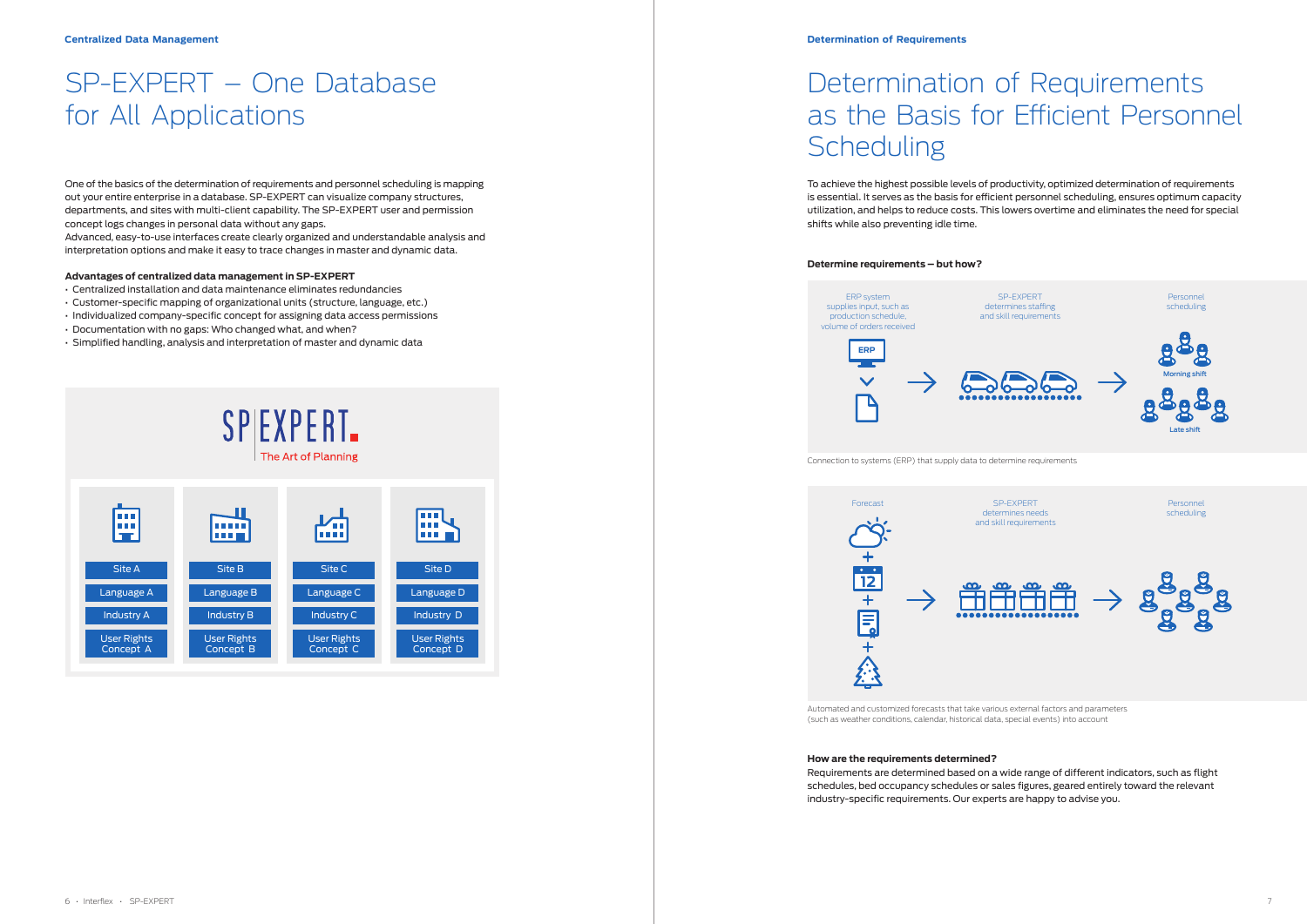# SP-EXPERT – One Database for All Applications

One of the basics of the determination of requirements and personnel scheduling is mapping out your entire enterprise in a database. SP-EXPERT can visualize company structures, departments, and sites with multi-client capability. The SP-EXPERT user and permission concept logs changes in personal data without any gaps.

Advanced, easy-to-use interfaces create clearly organized and understandable analysis and interpretation options and make it easy to trace changes in master and dynamic data.

#### **Advantages of centralized data management in SP-EXPERT**

# Determination of Requirements as the Basis for Efficient Personnel **Scheduling**

- Centralized installation and data maintenance eliminates redundancies
- Customer-specific mapping of organizational units (structure, language, etc.)
- Individualized company-specific concept for assigning data access permissions
- Documentation with no gaps: Who changed what, and when?
- Simplified handling, analysis and interpretation of master and dynamic data



To achieve the highest possible levels of productivity, optimized determination of requirements is essential. It serves as the basis for efficient personnel scheduling, ensures optimum capacity utilization, and helps to reduce costs. This lowers overtime and eliminates the need for special shifts while also preventing idle time.

#### **Determine requirements – but how?**

### **How are the requirements determined?**

Requirements are determined based on a wide range of different indicators, such as flight schedules, bed occupancy schedules or sales figures, geared entirely toward the relevant industry-specific requirements. Our experts are happy to advise you.





Automated and customized forecasts that take various external factors and parameters (such as weather conditions, calendar, historical data, special events) into account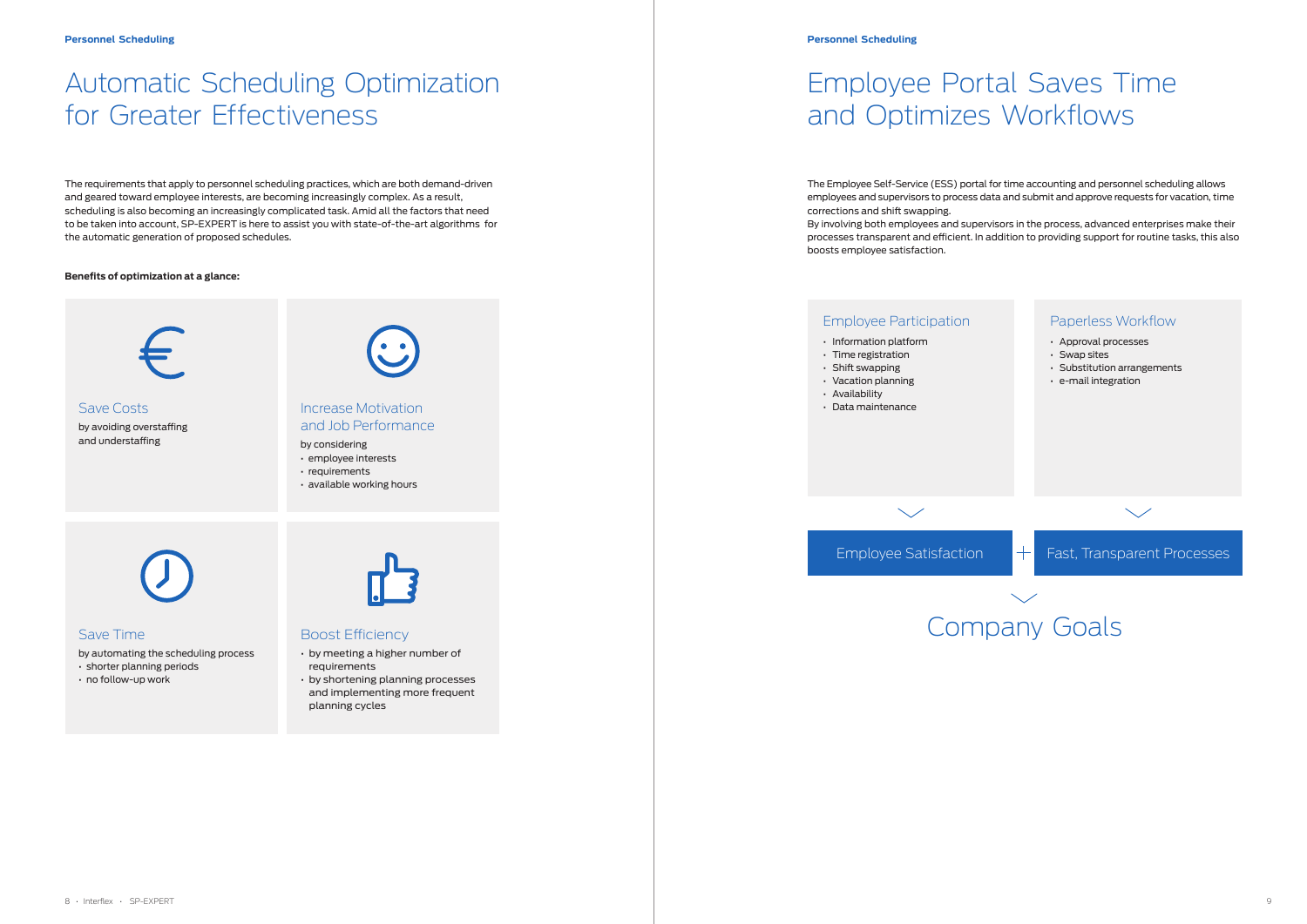# Automatic Scheduling Optimization for Greater Effectiveness

# Employee Portal Saves Time and Optimizes Workflows

The requirements that apply to personnel scheduling practices, which are both demand-driven and geared toward employee interests, are becoming increasingly complex. As a result, scheduling is also becoming an increasingly complicated task. Amid all the factors that need to be taken into account, SP-EXPERT is here to assist you with state-of-the-art algorithms for the automatic generation of proposed schedules.

#### **Benefits of optimization at a glance:**



The Employee Self-Service (ESS) portal for time accounting and personnel scheduling allows employees and supervisors to process data and submit and approve requests for vacation, time corrections and shift swapping. By involving both employees and supervisors in the process, advanced enterprises make their processes transparent and efficient. In addition to providing support for routine tasks, this also boosts employee satisfaction.

### Save Time

- by automating the scheduling process
- shorter planning periods
- no follow-up work

### Boost Efficiency

- by meeting a higher number of requirements
- by shortening planning processes and implementing more frequent planning cycles

Save Costs by avoiding overstaffing and understaffing



### Increase Motivation and Job Performance

- by considering
- employee interests • requirements
- available working hours

### Employee Participation

- Information platform
- Time registration
- Shift swapping
- Vacation planning
- Availability
- Data maintenance

 $\searrow$ 

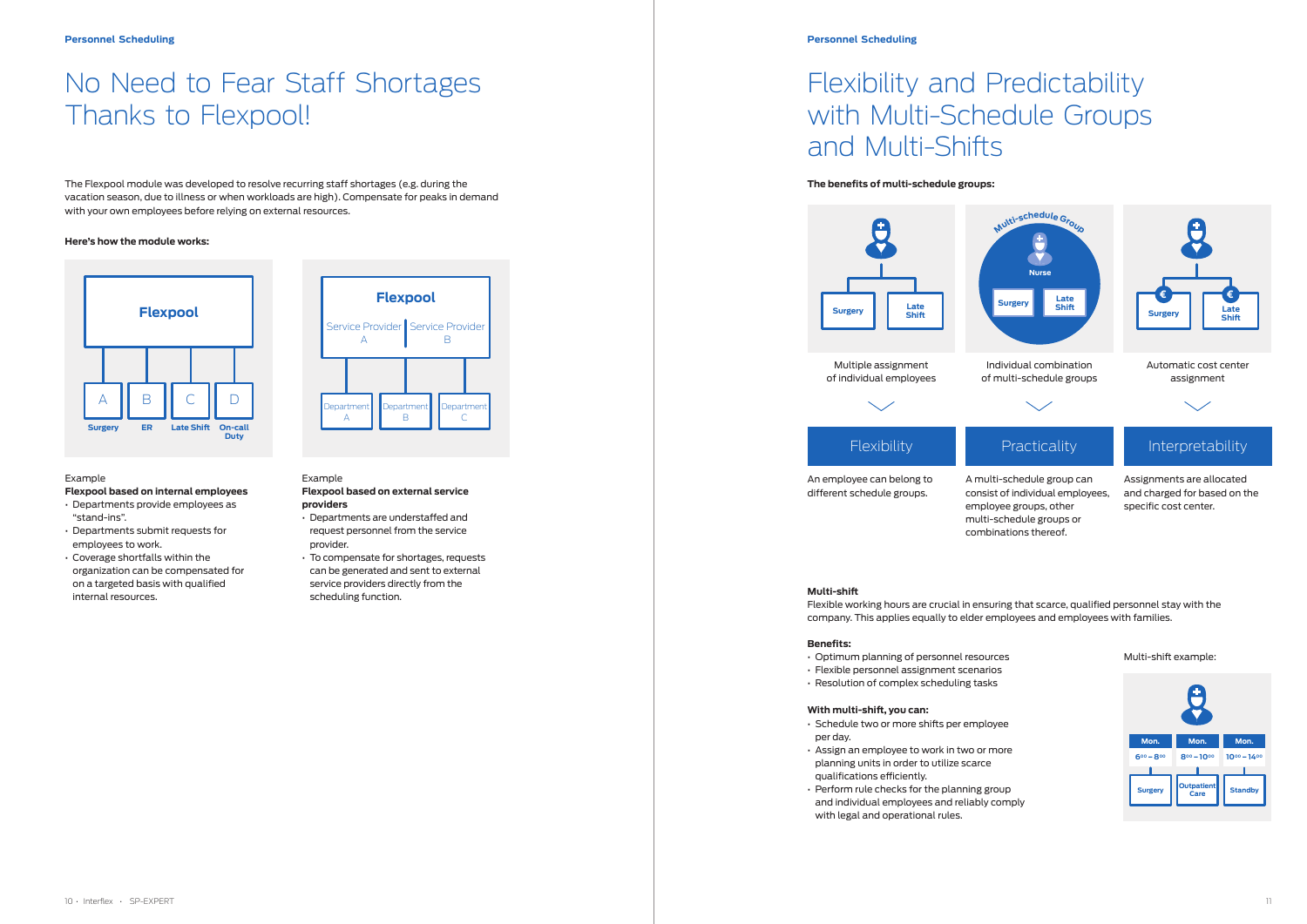# No Need to Fear Staff Shortages Thanks to Flexpool!

The Flexpool module was developed to resolve recurring staff shortages (e.g. during the vacation season, due to illness or when workloads are high). Compensate for peaks in demand with your own employees before relying on external resources.

#### **Here's how the module works:**

#### Example

#### **Flexpool based on internal employees**

- Departments provide employees as "stand-ins".
- Departments submit requests for employees to work.
- Coverage shortfalls within the organization can be compensated for on a targeted basis with qualified internal resources.

#### Example

**Ienartmer** A

**Department** B

#### **Flexpool based on external service providers**

nartmen  $\subset$ 

- Departments are understaffed and request personnel from the service provider.
- To compensate for shortages, requests can be generated and sent to external service providers directly from the scheduling function.

Multiple assignment of individual employees

An employee can belong to different schedule groups.

combinations thereof.

**Flexpool**

A

Service Provider Service Provider

B





#### **Personnel Scheduling**

## Flexibility and Predictability with Multi-Schedule Groups and Multi-Shifts

#### **The benefits of multi-schedule groups:**

#### **Multi-shift**



Flexible working hours are crucial in ensuring that scarce, qualified personnel stay with the company. This applies equally to elder employees and employees with families.

#### **Benefits:**

- Optimum planning of personnel resources
- Flexible personnel assignment scenarios
- Resolution of complex scheduling tasks

#### **With multi-shift, you can:**

- Schedule two or more shifts per employee per day.
- Assign an employee to work in two or more planning units in order to utilize scarce qualifications efficiently.
- Perform rule checks for the planning group and individual employees and reliably comply with legal and operational rules.

Multi-shift example:

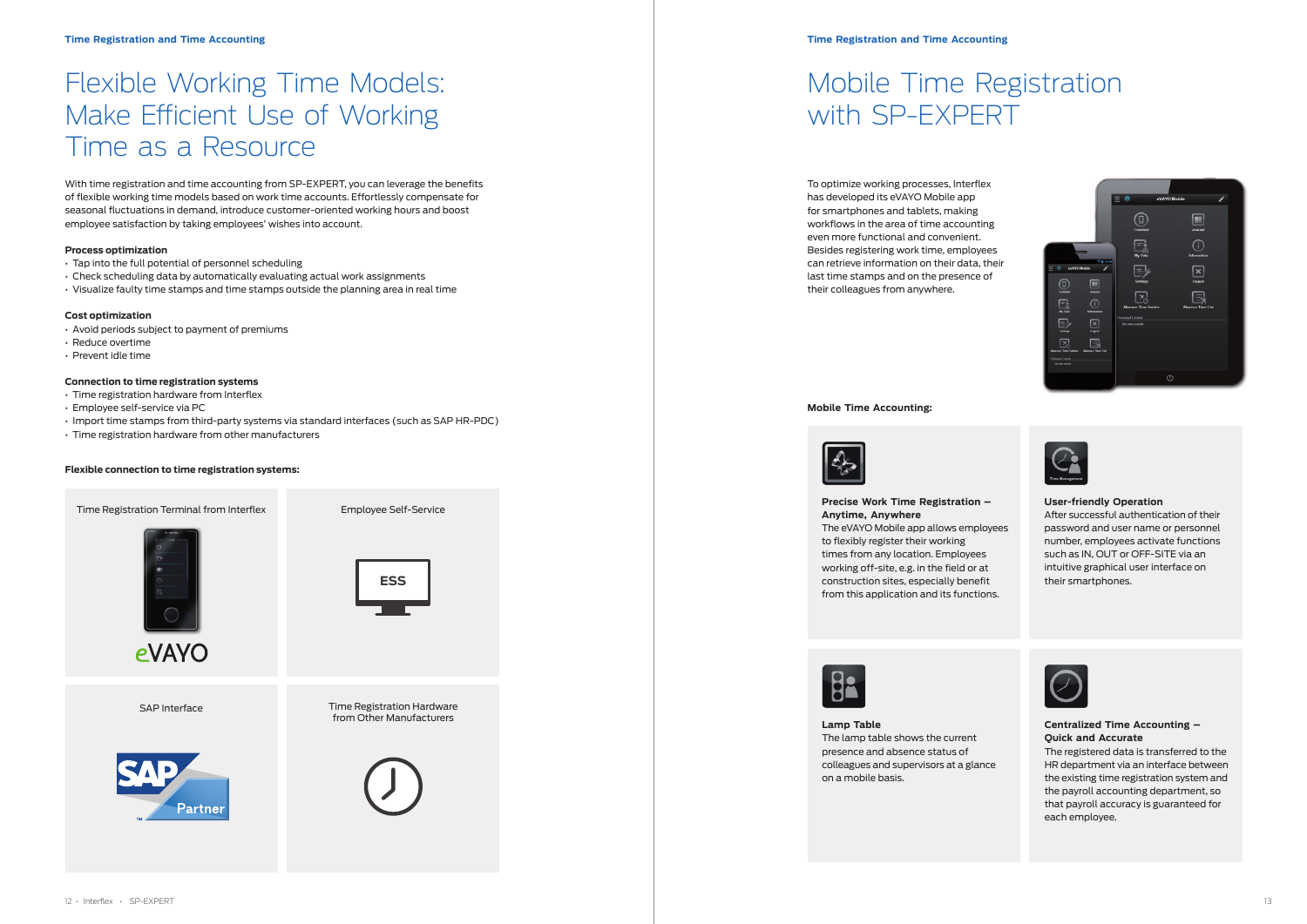# Mobile Time Registration with SP-EXPERT

To optimize working processes, Interflex has developed its eVAYO Mobile app for smartphones and tablets, making workflows in the area of time accounting even more functional and convenient. Besides registering work time, employees can retrieve information on their data, their last time stamps and on the presence of their colleagues from anywhere.

#### **Lamp Table** The lamp table shows the current presence and absence status of colleagues and supervisors at a glance on a mobile basis.







### **Centralized Time Accounting – Quick and Accurate**

The registered data is transferred to the HR department via an interface between the existing time registration system and the payroll accounting department, so that payroll accuracy is guaranteed for each employee.

**Mobile Time Accounting:**



### **Precise Work Time Registration – Anytime, Anywhere** The eVAYO Mobile app allows employees to flexibly register their working

times from any location. Employees working off-site, e.g. in the field or at construction sites, especially benefit from this application and its functions.



### **User-friendly Operation**

After successful authentication of their password and user name or personnel number, employees activate functions such as IN, OUT or OFF-SITE via an intuitive graphical user interface on their smartphones.



## Flexible Working Time Models: Make Efficient Use of Working Time as a Resource

With time registration and time accounting from SP-EXPERT, you can leverage the benefits of flexible working time models based on work time accounts. Effortlessly compensate for seasonal fluctuations in demand, introduce customer-oriented working hours and boost employee satisfaction by taking employees' wishes into account.

#### **Process optimization**

- Tap into the full potential of personnel scheduling
- Check scheduling data by automatically evaluating actual work assignments
- Visualize faulty time stamps and time stamps outside the planning area in real time

#### **Cost optimization**

- Avoid periods subject to payment of premiums
- Reduce overtime
- Prevent idle time

#### **Connection to time registration systems**

- Time registration hardware from Interflex
- Employee self-service via PC
- Import time stamps from third-party systems via standard interfaces (such as SAP HR-PDC)
- Time registration hardware from other manufacturers

#### **Flexible connection to time registration systems:**

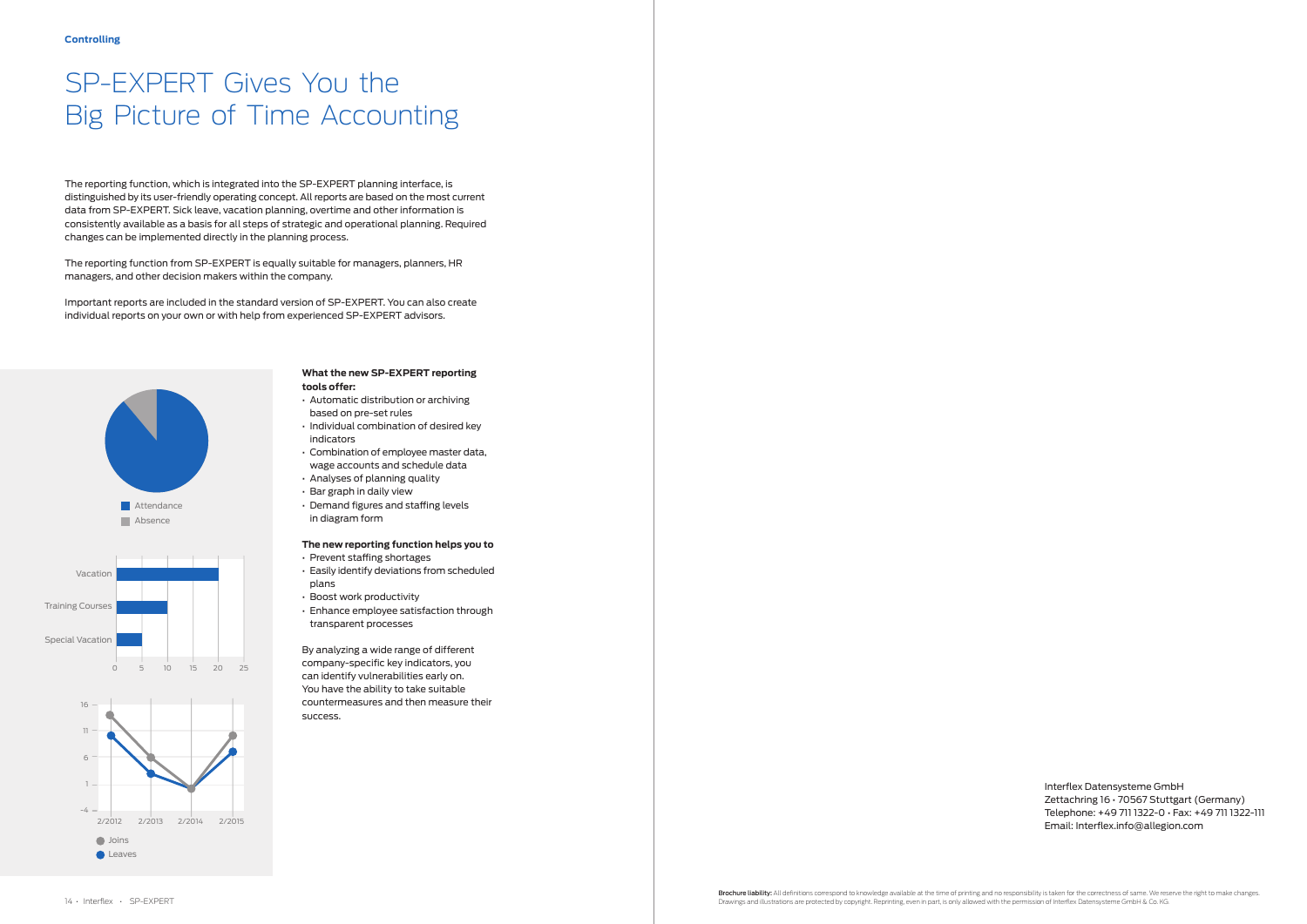Interflex Datensysteme GmbH Zettachring 16 • 70567 Stuttgart (Germany) Telephone: +49 711 1322-0 • Fax: +49 711 1322-111 Email: Interflex.info@allegion.com

# SP-EXPERT Gives You the Big Picture of Time Accounting

#### **What the new SP-EXPERT reporting tools offer:**

- Automatic distribution or archiving based on pre-set rules
- Individual combination of desired key indicators
- Combination of employee master data, wage accounts and schedule data
- Analyses of planning quality
- Bar graph in daily view
- Demand figures and staffing levels in diagram form

### **The new reporting function helps you to**

- Prevent staffing shortages
- Easily identify deviations from scheduled plans
- Boost work productivity
- Enhance employee satisfaction through transparent processes

By analyzing a wide range of different company-specific key indicators, you can identify vulnerabilities early on. You have the ability to take suitable countermeasures and then measure their success.







The reporting function, which is integrated into the SP-EXPERT planning interface, is distinguished by its user-friendly operating concept. All reports are based on the most current data from SP-EXPERT. Sick leave, vacation planning, overtime and other information is consistently available as a basis for all steps of strategic and operational planning. Required changes can be implemented directly in the planning process.

The reporting function from SP-EXPERT is equally suitable for managers, planners, HR managers, and other decision makers within the company.

Important reports are included in the standard version of SP-EXPERT. You can also create individual reports on your own or with help from experienced SP-EXPERT advisors.